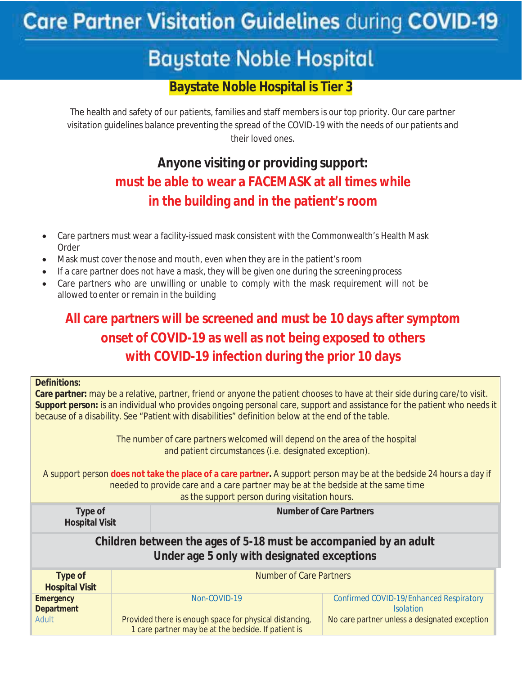# **Care Partner Visitation Guidelines during COVID-19**

### **Inpatient, Emergency Department, Surgical/Procedures, Hospital-based Outpatient Services \_\_\_\_\_\_\_\_\_\_\_\_\_\_\_\_\_\_\_\_\_\_\_\_\_\_\_\_\_\_\_\_\_\_\_\_\_\_\_\_\_\_\_\_\_\_\_\_\_\_\_\_\_\_\_\_\_\_\_\_\_\_\_\_**

### **Baystate Noble Hospital is Tier 3**

The health and safety of our patients, families and staff members is our top priority. Our care partner visitation guidelines balance preventing the spread of the COVID-19 with the needs of our patients and their loved ones.

# **Anyone visiting or providing support: must be able to wear a FACEMASK at all times while in the building and in the patient's room**

- Care partners must wear a facility-issued mask consistent with the Commonwealth's Health Mask Order
- Mask must cover the nose and mouth, even when they are in the patient's room
- If a care partner does not have a mask, they will be given one during the screening process
- Care partners who are unwilling or unable to comply with the mask requirement will not be allowed to enter or remain in the building

## **All care partners will be screened and must be 10 days after symptom onset of COVID-19 as well as not being exposed to others with COVID-19 infection during the prior 10 days**

| <b>Definitions:</b>                                                                                                                                                                                                                                        | Care partner: may be a relative, partner, friend or anyone the patient chooses to have at their side during care/to visit.<br>Support person: is an individual who provides ongoing personal care, support and assistance for the patient who needs it<br>because of a disability. See "Patient with disabilities" definition below at the end of the table.<br>The number of care partners welcomed will depend on the area of the hospital |                                         |  |  |
|------------------------------------------------------------------------------------------------------------------------------------------------------------------------------------------------------------------------------------------------------------|----------------------------------------------------------------------------------------------------------------------------------------------------------------------------------------------------------------------------------------------------------------------------------------------------------------------------------------------------------------------------------------------------------------------------------------------|-----------------------------------------|--|--|
| and patient circumstances (i.e. designated exception).                                                                                                                                                                                                     |                                                                                                                                                                                                                                                                                                                                                                                                                                              |                                         |  |  |
| A support person does not take the place of a care partner. A support person may be at the bedside 24 hours a day if<br>needed to provide care and a care partner may be at the bedside at the same time<br>as the support person during visitation hours. |                                                                                                                                                                                                                                                                                                                                                                                                                                              |                                         |  |  |
| Type of<br><b>Hospital Visit</b>                                                                                                                                                                                                                           |                                                                                                                                                                                                                                                                                                                                                                                                                                              | <b>Number of Care Partners</b>          |  |  |
| Children between the ages of 5-18 must be accompanied by an adult<br>Under age 5 only with designated exceptions                                                                                                                                           |                                                                                                                                                                                                                                                                                                                                                                                                                                              |                                         |  |  |
| <b>Type of</b><br><b>Hospital Visit</b>                                                                                                                                                                                                                    |                                                                                                                                                                                                                                                                                                                                                                                                                                              | <b>Number of Care Partners</b>          |  |  |
| <b>Emergency</b>                                                                                                                                                                                                                                           | Non-COVID-19                                                                                                                                                                                                                                                                                                                                                                                                                                 | Confirmed COVID-19/Enhanced Respiratory |  |  |
| <b>Department</b>                                                                                                                                                                                                                                          |                                                                                                                                                                                                                                                                                                                                                                                                                                              | <b>Isolation</b>                        |  |  |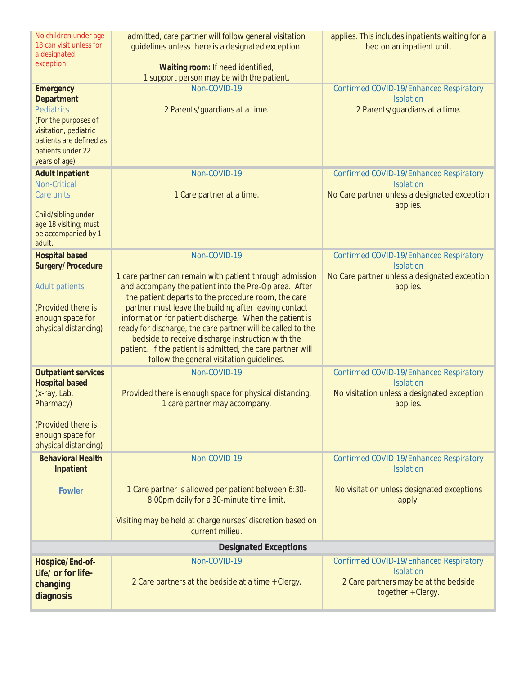| No children under age<br>18 can visit unless for<br>a designated<br>exception                                  | admitted, care partner will follow general visitation<br>guidelines unless there is a designated exception.<br>Waiting room: If need identified,<br>1 support person may be with the patient.<br>Non-COVID-19                                                                         | applies. This includes inpatients waiting for a<br>bed on an inpatient unit.<br>Confirmed COVID-19/Enhanced Respiratory |  |  |
|----------------------------------------------------------------------------------------------------------------|---------------------------------------------------------------------------------------------------------------------------------------------------------------------------------------------------------------------------------------------------------------------------------------|-------------------------------------------------------------------------------------------------------------------------|--|--|
| <b>Emergency</b><br><b>Department</b><br><b>Pediatrics</b>                                                     | 2 Parents/guardians at a time.                                                                                                                                                                                                                                                        | <b>Isolation</b><br>2 Parents/guardians at a time.                                                                      |  |  |
| (For the purposes of<br>visitation, pediatric<br>patients are defined as<br>patients under 22<br>years of age) |                                                                                                                                                                                                                                                                                       |                                                                                                                         |  |  |
| <b>Adult Inpatient</b><br>Non-Critical                                                                         | Non-COVID-19                                                                                                                                                                                                                                                                          | Confirmed COVID-19/Enhanced Respiratory                                                                                 |  |  |
| Care units                                                                                                     | 1 Care partner at a time.                                                                                                                                                                                                                                                             | <b>Isolation</b><br>No Care partner unless a designated exception<br>applies.                                           |  |  |
| Child/sibling under<br>age 18 visiting; must<br>be accompanied by 1<br>adult.                                  |                                                                                                                                                                                                                                                                                       |                                                                                                                         |  |  |
| <b>Hospital based</b><br>Surgery/Procedure                                                                     | Non-COVID-19                                                                                                                                                                                                                                                                          | Confirmed COVID-19/Enhanced Respiratory<br><b>Isolation</b>                                                             |  |  |
| <b>Adult patients</b><br>(Provided there is                                                                    | 1 care partner can remain with patient through admission<br>and accompany the patient into the Pre-Op area. After<br>the patient departs to the procedure room, the care<br>partner must leave the building after leaving contact                                                     | No Care partner unless a designated exception<br>applies.                                                               |  |  |
| enough space for<br>physical distancing)                                                                       | information for patient discharge. When the patient is<br>ready for discharge, the care partner will be called to the<br>bedside to receive discharge instruction with the<br>patient. If the patient is admitted, the care partner will<br>follow the general visitation guidelines. |                                                                                                                         |  |  |
| <b>Outpatient services</b><br><b>Hospital based</b>                                                            | Non-COVID-19                                                                                                                                                                                                                                                                          | Confirmed COVID-19/Enhanced Respiratory<br><b>Isolation</b>                                                             |  |  |
| (x-ray, Lab,<br>Pharmacy)                                                                                      | Provided there is enough space for physical distancing,<br>1 care partner may accompany.                                                                                                                                                                                              | No visitation unless a designated exception<br>applies.                                                                 |  |  |
| (Provided there is<br>enough space for<br>physical distancing)                                                 |                                                                                                                                                                                                                                                                                       |                                                                                                                         |  |  |
| <b>Behavioral Health</b><br>Inpatient                                                                          | Non-COVID-19                                                                                                                                                                                                                                                                          | Confirmed COVID-19/Enhanced Respiratory<br><b>Isolation</b>                                                             |  |  |
| <b>Fowler</b>                                                                                                  | 1 Care partner is allowed per patient between 6:30-<br>8:00pm daily for a 30-minute time limit.                                                                                                                                                                                       | No visitation unless designated exceptions<br>apply.                                                                    |  |  |
|                                                                                                                | Visiting may be held at charge nurses' discretion based on<br>current milieu.                                                                                                                                                                                                         |                                                                                                                         |  |  |
| <b>Designated Exceptions</b>                                                                                   |                                                                                                                                                                                                                                                                                       |                                                                                                                         |  |  |
| Hospice/End-of-<br>Life/ or for life-                                                                          | Non-COVID-19                                                                                                                                                                                                                                                                          | Confirmed COVID-19/Enhanced Respiratory<br><b>Isolation</b>                                                             |  |  |
| changing<br>diagnosis                                                                                          | 2 Care partners at the bedside at a time + Clergy.                                                                                                                                                                                                                                    | 2 Care partners may be at the bedside<br>together + Clergy.                                                             |  |  |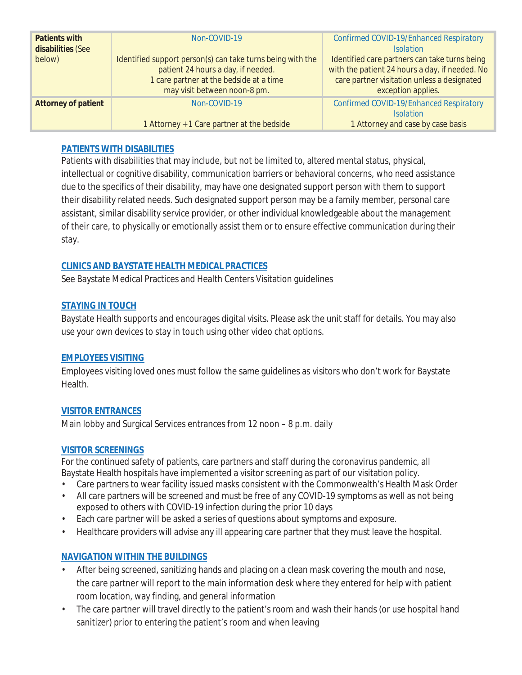| <b>Patients with</b><br>disabilities (See<br>below) | Non-COVID-19<br>Identified support person(s) can take turns being with the<br>patient 24 hours a day, if needed.<br>1 care partner at the bedside at a time<br>may visit between noon-8 pm. | Confirmed COVID-19/Enhanced Respiratory<br><b>Isolation</b><br>Identified care partners can take turns being<br>with the patient 24 hours a day, if needed. No<br>care partner visitation unless a designated<br>exception applies. |
|-----------------------------------------------------|---------------------------------------------------------------------------------------------------------------------------------------------------------------------------------------------|-------------------------------------------------------------------------------------------------------------------------------------------------------------------------------------------------------------------------------------|
| <b>Attorney of patient</b>                          | Non-COVID-19<br>1 Attorney + 1 Care partner at the bedside                                                                                                                                  | Confirmed COVID-19/Enhanced Respiratory<br><b>Isolation</b><br>1 Attorney and case by case basis                                                                                                                                    |

#### **PATIENTS WITH DISABILITIES**

Patients with disabilities that may include, but not be limited to, altered mental status, physical, intellectual or cognitive disability, communication barriers or behavioral concerns, *who need assistance due to the specifics of their disability*, may have one designated support person with them to support their disability related needs. Such designated support person may be a family member, personal care assistant, similar disability service provider, or other individual knowledgeable about the management of their care, to physically or emotionally assist them or to ensure effective communication during their stay.

#### **CLINICS AND BAYSTATE HEALTH MEDICAL PRACTICES**

See Baystate Medical Practices and Health Centers Visitation guidelines

#### **STAYING IN TOUCH**

Baystate Health supports and encourages digital visits. Please ask the unit staff for details. You may also use your own devices to stay in touch using other video chat options.

#### **EMPLOYEES VISITING**

Employees visiting loved ones must follow the same guidelines as visitors who don't work for Baystate Health.

#### **VISITOR ENTRANCES**

Main lobby and Surgical Services entrances from 12 noon – 8 p.m. daily

#### **VISITOR SCREENINGS**

For the continued safety of patients, care partners and staff during the coronavirus pandemic, all Baystate Health hospitals have implemented a visitor screening as part of our visitation policy.

- Care partners to wear facility issued masks consistent with the Commonwealth's Health Mask Order
- All care partners will be screened and must be free of any COVID-19 symptoms as well as not being exposed to others with COVID-19 infection during the prior 10 days
- Each care partner will be asked a series of questions about symptoms and exposure.
- Healthcare providers will advise any ill appearing care partner that they must leave the hospital.

#### **NAVIGATION WITHIN THE BUILDINGS**

- After being screened, sanitizing hands and placing on a clean mask covering the mouth and nose, the care partner will report to the main information desk where they entered for help with patient room location, way finding, and general information
- The care partner will travel directly to the patient's room and wash their hands (or use hospital hand sanitizer) prior to entering the patient's room and when leaving